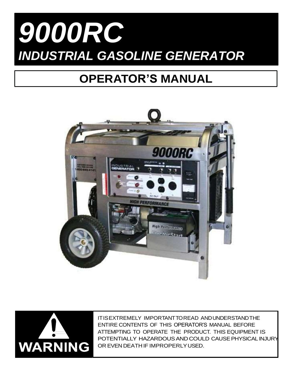# *9000RC INDUSTRIAL GASOLINE GENERATOR*

## **OPERATOR'S MANUAL**





ITISEXTREMELY IMPORTANTTOREAD ANDUNDERSTANDTHE ENTIRE CONTENTS OF THIS OPERATOR'S MANUAL BEFORE ATTEMPTING TO OPERATE THE PRODUCT. THIS EQUIPMENT IS POTENTIALLY HAZARDOUSANDCOULD CAUSEPHYSICAL INJURY OR EVEN DEATH IF IMPROPERLYUSED.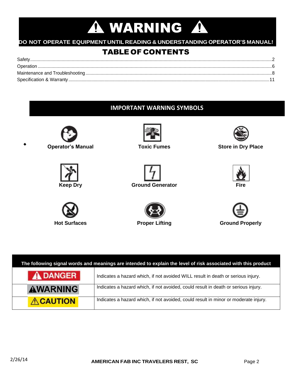## **A WARNING A**

### **DO NOT OPERATE EQUIPMENT UNTIL READING & UNDERSTANDING OPERATOR'S MANUAL!**

## TABLE OF CONTENTS

| Safety |  |
|--------|--|
|        |  |
|        |  |
|        |  |

## **IMPORTANT WARNING SYMBOLS**



**Operator's Manual Toxic Fumes Store in Dry Place**

















| The following signal words and meanings are intended to explain the level of risk associated with this product |                                                                                     |  |  |
|----------------------------------------------------------------------------------------------------------------|-------------------------------------------------------------------------------------|--|--|
| <b>A DANGER</b>                                                                                                | Indicates a hazard which, if not avoided WILL result in death or serious injury.    |  |  |
| AWARNING                                                                                                       | Indicates a hazard which, if not avoided, could result in death or serious injury.  |  |  |
| <b>ACAUTION</b>                                                                                                | Indicates a hazard which, if not avoided, could result in minor or moderate injury. |  |  |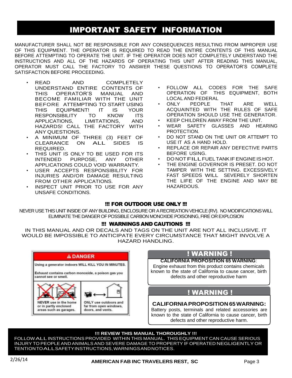## IMPORTANT SAFETY INFORMATION

MANUFACTURER SHALL NOT BE RESPONSIBLE FOR ANY CONSEQUENCES RESULTING FROM IMPROPER USE OF THIS EQUIPMENT. THE OPERATOR IS REQUIRED TO READ THE ENTIRE CONTENTS OF THIS MANUAL BEFORE ATTEMPTING TO OPERATE THE UNIT. IF THE OPERATOR DOES NOT COMPLETELY UNDERSTAND THE INSTRUCTIONS AND ALL OF THE HAZARDS OF OPERATING THIS UNIT AFTER READING THIS MANUAL, OPERATOR MUST CALL THE FACTORY TO ANSWER THESE QUESTIONS TO OPERATOR'S COMPLETE SATISFACTION BEFORE PROCEEDING.

- READ AND COMPLETELY UNDERSTAND ENTIRE CONTENTS OF THIS OPERATOR'S MANUAL AND BECOME FAMILIAR WITH THE UNIT BEFORE ATTEMPTING TO START USING THIS EQUIPMENT! IT IS YOUR RESPONSIBILITY TO KNOW ITS APPLICATIONS, LIMITATIONS, AND HAZARDS! CALL THE FACTORY WITH ANY QUESTIONS.
- A MINIMUM OF THREE (3) FEET OF CLEARANCE ON ALL SIDES IS REQUIRED.
- THIS UNIT IS ONLY TO BE USED FOR ITS INTENDED PURPOSE, ANY OTHER APPLICATIONS COULD VOID WARRANTY.
- USER ACCEPTS RESPONSIBILITY FOR INJURIES AND/OR DAMAGE RESULTING FROM OTHER APPLICATIONS.
- INSPECT UNIT PRIOR TO USE FOR ANY UNSAFE CONDITIONS.
- FOLLOW ALL CODES FOR THE SAFE OPERATION OF THIS EQUIPMENT, BOTH LOCAL AND FEDERAL
- ONLY PEOPLE THAT ARE WELL ACQUAINTED WITH THE RULES OF SAFE OPERATION SHOULD USE THE GENERATOR.
- KEEP CHILDREN AWAY FROM THE UNIT.
- WEAR SAFETY GLASSES AND HEARING PROTECTION.
- DO NOT STAND ON THE UNIT OR ATTEMPT TO USE IT AS A HAND HOLD.
- REPLACE OR REPAIR ANY DEFECTIVE PARTS BEFORE USING.
- DO NOTFILLFUELTANKIFENGINEIS HOT.
- THE ENGINE GOVERNOR IS PRESET. DO NOT TAMPER WITH THE SETTING. EXCESSIVELY FAST SPEEDS WILL SEVERELY SHORTEN THE LIFE OF THE ENGINE AND MAY BE HAZARDOUS.

#### !!! FOR OUTDOOR USE ONLY !!!

NEVER USE THIS UNIT INSIDE OFANY BUILDING, ENCLOSURE OR A RECREATION VEHICLE (RV). NO MODIFICATIONS WILL ELIMINATE THE DANGER OF POSSIBLE CARBON MONOXIDE POISONING, FIRE OR EXPLOSION

#### !!! WARNINGS AND CAUTIONS !!!

IN THIS MANUAL AND OR DECALS AND TAGS ON THE UNIT ARE NOT ALL INCLUSIVE. IT WOULD BE IMPOSSIBLE TO ANTICIPATE EVERY CIRCUMSTANCE THAT MIGHT INVOLVE A HAZARD HANDLING.



## ! WARNING !

#### **CALIFORNIA PROPOSITION 65 WARNING**:

Engine exhaust from this product contains chemicals known to the state of California to cause cancer, birth defects and other reproductive harm

### ! WARNING !

#### **CALIFORNIAPROPOSITION 65WARNING:**

Battery posts, terminals and related accessories are known to the state of California to cause cancer, birth defects and other reproductive harm.

#### **!!! REVIEW THIS MANUAL THOROUGHLY !!!**

FOLLOWALLINSTRUCTIONS PROVIDED WITHIN THIS MANUAL. THIS EQUIPMENT CAN CAUSE SERIOUS INJURY TO PEOPLEAND ANIMALSAND SEVERE DAMAGE TO PROPERTY IF OPERATED NEGLIGENTLY OR TENTIONTOALLSAFETYINSTRUCTIONS,WARNINGSANDNOTICES.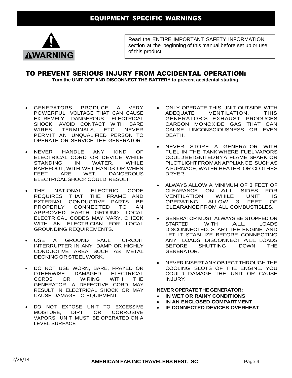

Read the ENTIRE IMPORTANT SAFETY INFORMATION section at the beginning of this manual before set up or use of this product

## TO PREVENT SERIOUS INJURY FROM ACCIDENTAL OPERATION:

**Turn the UNIT OFF AND DISCONNECT THE BATTERY to prevent accidental starting.**

- GENERATORS PRODUCE A VERY POWERFUL VOLTAGE THAT CAN CAUSE EXTREMELY DANGEROUS ELECTRICAL SHOCK. AVOID CONTACT WITH BARE WIRES, TERMINALS, ETC. NEVER PERMIT AN UNQUALIFIED PERSON TO OPERATE OR SERVICE THE GENERATOR.
- NEVER HANDLE ANY KIND OF ELECTRICAL CORD OR DEVICE WHILE<br>STANDING IN WATER, WHILE STANDING IN WATER, WHILE BAREFOOT, WITH WET HANDS OR WHEN FEET ARE WET. DANGEROUS ELECTRICALSHOCK COULD RESULT.
- THE NATIONAL ELECTRIC CODE REQUIRES THAT THE FRAME AND EXTERNAL CONDUCTIVE PARTS BE<br>PROPERLY CONNECTED TO AN **CONNECTED** APPROVED EARTH GROUND. LOCAL ELECTRICAL CODES MAY VARY. CHECK WITH AN ELECTRICIAN FOR LOCAL GROUNDING REQUIREMENTS.
- USE A GROUND FAULT CIRCUIT INTERRUPTER IN ANY DAMP OR HIGHLY CONDUCTIVE AREA SUCH AS METAL DECKING OR STEELWORK.
- DO NOT USE WORN, BARE, FRAYED OR OTHERWISE DAMAGED ELECTRICAL CORDS OR WIRING WITH THE GENERATOR. A DEFECTIVE CORD MAY RESULT IN ELECTRICAL SHOCK OR MAY CAUSE DAMAGE TO EQUIPMENT.
- DO NOT EXPOSE UNIT TO EXCESSIVE MOISTURE, DIRT OR CORROSIVE VAPORS. UNIT MUST BE OPERATED ON A LEVEL SURFACE
- ONLY OPERATE THIS UNIT OUTSIDE WITH ADEQUATE VENTILATION. THIS GENERATOR'S EXHAUST PRODUCES CARBON MONOXIDE GAS THAT CAN CAUSE UNCONSCIOUSNESS OR EVEN **DEATH**
- NEVER STORE A GENERATOR WITH FUEL IN THE TANK WHERE FUEL VAPORS COULD BEIGNITED BYA FLAME,SPARK,OR PILOTLIGHTFROMANAPPLIANCE SUCHAS A FURNACE, WATER HEATER, OR CLOTHES DRYER.
- ALWAYS ALLOW A MINIMUM OF 3 FEET OF CLEARANCE ON ALL SIDES FOR<br>VENTILATION WHILE UNIT IS VENTILATION OPERATING. ALLOW 3 FEET OF CLEARANCEFROM ALL COMBUSTIBLES.
- GENERATOR MUST ALWAYS BE STOPPED OR<br>STARTED WITH ALL LOADS STARTED WITH ALL LOADS DISCONNECTED. START THE ENGINE AND LET IT STABILIZE BEFORE CONNECTING ANY LOADS. DISCONNECT ALL LOADS<br>BEFORE SHUTTING DOWN THE SHUTTING DOWN THE GENERATOR.
- **NEVER INSERTANY OBJECT THROUGH THE** COOLING SLOTS OF THE ENGINE. YOU COULD DAMAGE THE UNIT OR CAUSE INJURY.

#### **NEVER OPERATE THE GENERATOR:**

- **IN WET OR RAINY CONDITIONS**
- **IN AN ENCLOSED COMPARTMENT**
- **IF CONNECTED DEVICES OVERHEAT**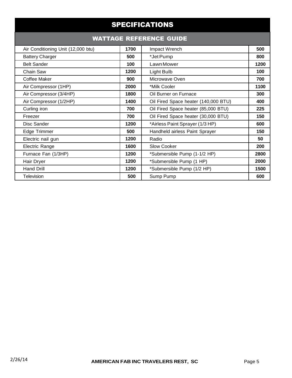| <b>SPECIFICATIONS</b>          |                                      |      |  |  |  |
|--------------------------------|--------------------------------------|------|--|--|--|
| <b>WATTAGE REFERENCE GUIDE</b> |                                      |      |  |  |  |
| 1700                           | Impact Wrench                        | 500  |  |  |  |
| 500                            | *Jet Pump                            | 800  |  |  |  |
| 100                            | Lawn Mower                           | 1200 |  |  |  |
| 1200                           | Light Bulb                           | 100  |  |  |  |
| 900                            | Microwave Oven                       | 700  |  |  |  |
| 2000                           | *Milk Cooler                         | 1100 |  |  |  |
| 1800                           | Oil Burner on Furnace                | 300  |  |  |  |
| 1400                           | Oil Fired Space heater (140,000 BTU) | 400  |  |  |  |
| 700                            | Oil Fired Space heater (85,000 BTU)  | 225  |  |  |  |
| 700                            | Oil Fired Space heater (30,000 BTU)  | 150  |  |  |  |
| 1200                           | *Airless Paint Sprayer (1/3 HP)      | 600  |  |  |  |
| 500                            | Handheld airless Paint Sprayer       | 150  |  |  |  |
| 1200                           | Radio                                | 50   |  |  |  |
| 1600                           | <b>Slow Cooker</b>                   | 200  |  |  |  |
| 1200                           | *Submersible Pump (1-1/2 HP)         | 2800 |  |  |  |
| 1200                           | *Submersible Pump (1 HP)             | 2000 |  |  |  |
| 1200                           | *Submersible Pump (1/2 HP)           | 1500 |  |  |  |
| 500                            | Sump Pump                            | 600  |  |  |  |
|                                |                                      |      |  |  |  |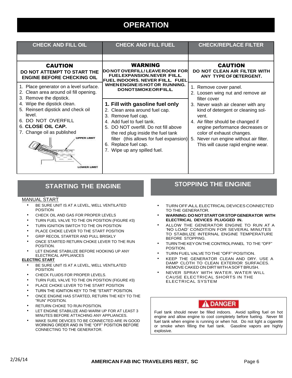## **OPERATION**

| <b>CHECK AND FILL OIL</b>                                                                                                                                                                                           | <b>CHECK AND FILL FUEL</b>                                                                                                                                                                                                                                                                          | <b>CHECK/REPLACE FILTER</b>                                                                                                                                                                                                                                                 |
|---------------------------------------------------------------------------------------------------------------------------------------------------------------------------------------------------------------------|-----------------------------------------------------------------------------------------------------------------------------------------------------------------------------------------------------------------------------------------------------------------------------------------------------|-----------------------------------------------------------------------------------------------------------------------------------------------------------------------------------------------------------------------------------------------------------------------------|
|                                                                                                                                                                                                                     |                                                                                                                                                                                                                                                                                                     |                                                                                                                                                                                                                                                                             |
| <b>CAUTION</b><br>DO NOT ATTEMPT TO START THE<br><b>ENGINE BEFORE CHECKING OIL</b>                                                                                                                                  | <b>WARNING</b><br><b>IDO NOT OVERFILL! LEAVE ROOM FOR</b><br><b>FUELEXPANSION.NEVER FILL</b><br><b>FUEL INDOORS. NEVER FILL FUEL</b>                                                                                                                                                                | <b>CAUTION</b><br>DO NOT CLEAN AIR FILTER WITH<br>ANY TYPE OF DETERGENT.                                                                                                                                                                                                    |
| 1. Place generator on a level surface.<br>2. Clean area around oil fill opening.<br>3. Remove the dipstick.                                                                                                         | WHEN ENGINE IS HOT OR RUNNING.<br><b>DONOTSMOKEORFILL</b>                                                                                                                                                                                                                                           | 1. Remove cover panel.<br>2. Loosen wing nut and remove air<br>filter cover                                                                                                                                                                                                 |
| 4. Wipe the dipstick clean.<br>5. Reinsert dipstick and check oil<br>level.<br>6. DO NOT OVERFILL<br>6. CLOSE OIL CAP.<br>7. Change oil as published<br><b>UPPER LIMI</b><br><b>STRANDING</b><br><b>LOWER LIMIT</b> | 1. Fill with gasoline fuel only<br>2. Clean area around fuel cap.<br>3. Remove fuel cap.<br>4. Add fuel to fuel tank.<br>5. DO NOT overfill. Do not fill above<br>the red plug inside the fuel tank<br>filter (this allows for fuel expansion)<br>6. Replace fuel cap.<br>Wipe up any spilled fuel. | 3. Never wash air cleaner with any<br>kind of detergent or cleaning sol-<br>vent.<br>4. Air filter should be changed if<br>engine performance decreases or<br>color of exhaust changes.<br>Never run engine without air filter.<br>5.<br>This will cause rapid engine wear. |

## **STARTING THE ENGINE**

#### MANUAL START

- BE SURE UNIT IS AT A LEVEL, WELL VENTILATED POSITION
- CHECK OIL AND GAS FOR PROPER LEVELS
- TURN FUEL VALVE TO THE ON POSITION (FIGURE #3)
- **TURN IGNITION SWITCH TO THE ON POSITION**
- PLACE CHOKE LEVER TO THE START POSITION
- **GRIP RECOIL STARTER AND PULL BRISKLY**
- ONCE STARTED RETURN CHOKE LEVER TO THE RUN POSITION.
- LET ENGINE STABILIZE BEFORE HOOKING UP ANY ELECTRICAL APPLIANCES

#### **ELECTRIC START**

- BE SURE UNIT IS AT A LEVEL, WELL VENTILATED POSITION
- CHECK FLUIDS FOR PROPER LEVELS.
- TURN FUEL VALVE TO THE ON POSITION (FIGURE #3)
- PLACE CHOKE LEVER TO THE START POSITION
- TURN THE IGNITION KEY TO THE "START" POSITION.
- ONCE ENGINE HAS STARTED, RETURN THE KEY TO THE "RUN" POSITION.
- RETURN CHOKE TO RUN POSITION.
- LET ENGINE STABILIZE AND WARM UP FOR AT LEAST 3 MINUTES BEFORE ATTACHING ANY APPLIANCES.
- MAKE SURE DEVICES TO BE CONNECTED ARE IN GOOD WORKING ORDER AND IN THE "OFF" POSITION BEFORE CONNECTING TO THE GENERATOR.

## **STOPPING THE ENGINE**

- TURN OFFALLELECTRICAL DEVICES CONNECTED TO THE GENERATOR.
- **WARNING:DONOTSTARTOR STOPGENERATOR WITH ELECTRICAL DEVICES PLUGGED IN.**
- ALLOW THE GENERATOR ENGINE TO RUN AT A 'NO LOAD' CONDITION FOR SEVERAL MINUTES TO STABILIZE INTERNAL ENGINE TEMPERATURE BEFORE STOPPING.
- TURNTHEKEYONTHE CONTROLPANEL TO THE "OFF" POSITION.
- TURN FUELVALVETO THE "OFF" POSITION.
- KEEP THE GENERATOR CLEAN AND DRY. USE A DAMP CLOTH TO CLEAN EXTERIOR SURFACES. REMOVE CAKED ON DIRTWITHASOFTBRUSH.
- NEVER SPRAY WITH WATER. WATER WILL CAUSE ELECTRICAL SHORTS IN THE ELECTRICAL SYSTEM

## DANGER

Fuel tank should never be filled indoors. Avoid spilling fuel on hot engine and allow engine to cool completely before fueling. Never fill fuel tank when engine is running or when hot. Do not light a cigarette or smoke when filling the fuel tank. Gasoline vapors are highly explosive.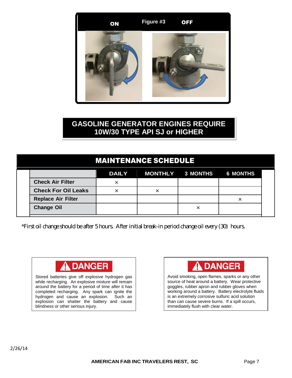

## **GASOLINE GENERATOR ENGINES REQUIRE 10W/30 TYPE API SJ or HIGHER**

## MAINTENANCE SCHEDULE

|                            | DAILY MONTHLY 3 MONTHS 6 MONTHS |  |
|----------------------------|---------------------------------|--|
| <b>Check Air Filter</b>    |                                 |  |
| <b>Check For Oil Leaks</b> |                                 |  |
| <b>Replace Air Filter</b>  |                                 |  |
| <b>Change Oil</b>          |                                 |  |

\*First oil change should be after 5 hours. After initial break-in period change oil every (30) hours.



Stored batteries give off explosive hydrogen gas while recharging. An explosive mixture will remain around the battery for a period of time after it has completed recharging. Any spark can ignite the hydrogen and cause an explosion. Such an explosion can shatter the battery and cause blindness or other serious injury.



Avoid smoking, open flames, sparks or any other source of heat around a battery. Wear protective goggles, rubber apron and rubber gloves when working around a battery. Battery electrolyte fluids is an extremely corrosive sulfuric acid solution than can cause severe burns. If a spill occurs, immediately flush with clear water.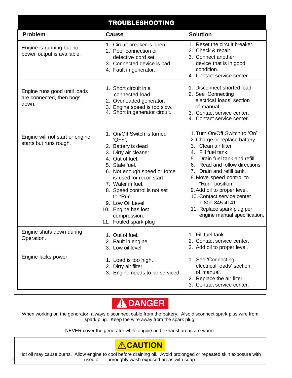| <b>TROUBLESHOOTING</b>                                            |                                                                                                                                                                                                                                                                                                                                          |                                                                                                                                                                                                                                                                                                                                                                                                                 |  |
|-------------------------------------------------------------------|------------------------------------------------------------------------------------------------------------------------------------------------------------------------------------------------------------------------------------------------------------------------------------------------------------------------------------------|-----------------------------------------------------------------------------------------------------------------------------------------------------------------------------------------------------------------------------------------------------------------------------------------------------------------------------------------------------------------------------------------------------------------|--|
| <b>Problem</b>                                                    | <b>Cause</b>                                                                                                                                                                                                                                                                                                                             | <b>Solution</b>                                                                                                                                                                                                                                                                                                                                                                                                 |  |
| Engine is running but no<br>power output is available.            | 1. Circuit breaker is open.<br>2. Poor connection or<br>defective cord set.<br>3. Connected device is bad.<br>4. Fault in generator.                                                                                                                                                                                                     | 1. Reset the circuit breaker.<br>2. Check & repair.<br>3. Connect another<br>device that is in good<br>condition.<br>4. Contact service center.                                                                                                                                                                                                                                                                 |  |
| Engine runs good until loads<br>are connected, then bogs<br>down. | 1. Short circuit in a<br>connected load.<br>2. Overloaded generator.<br>3. Engine speed is too slow.<br>4. Short in generator circuit.                                                                                                                                                                                                   | 1. Disconnect shorted load.<br>2. See 'Connecting<br>electrical loads' section<br>of manual.<br>3. Contact service center.<br>4. Contact service center.                                                                                                                                                                                                                                                        |  |
| Engine will not start or engine<br>starts but runs rough.         | 1. On/Off Switch is turned<br>'OFF'.<br>2. Battery is dead<br>Dirty air cleaner.<br>4. Out of fuel.<br>5. Stale fuel.<br>6. Not enough speed or force<br>is used for recoil start.<br>7. Water in fuel.<br>8. Speed control is not set<br>to "Run".<br>9. Low Oil Level.<br>10. Engine has lost<br>compression.<br>11. Fouled spark plug | 1. Turn On/Off Switch to 'On'.<br>2. Charge or replace battery.<br>3. Clean air filter<br>4. Fill fuel tank.<br>Drain fuel tank and refill.<br>5.<br>Read and follow directions.<br>6.<br>7. Drain and refill tank.<br>8. Move speed control to<br>"Run" position.<br>9. Add oil to proper level.<br>10. Contact service center<br>1-800-845-4141<br>11. Replace spark plug per<br>engine manual specification. |  |
| Engine shuts down during<br>Operation.                            | 1. Out of fuel.<br>2. Fault in engine.<br>3. Low oil level.                                                                                                                                                                                                                                                                              | 1. Fill fuel tank.<br>2. Contact service center.<br>3. Add oil to proper level.                                                                                                                                                                                                                                                                                                                                 |  |
| Engine lacks power                                                | 1. Load is too high.<br>Dirty air filter.<br>2.<br>3. Engine needs to be serviced.                                                                                                                                                                                                                                                       | 1. See 'Connecting<br>electrical loads' section<br>of manual.<br>2. Replace the air filter.<br>3. Contact service center.                                                                                                                                                                                                                                                                                       |  |



When working on the generator, always disconnect cable from the battery. Also disconnect spark plus wire from spark plug. Keep the wire away from the spark plug.

NEVER cover the generator while engine and exhaust areas are warm.

## **ACAUTION**

**AMERICAN FAB INC TRAVELERS REST, SC** Page 8 used oil. Thoroughly wash exposed areas with soap.Hot oil may cause burns. Allow engine to cool before draining oil. Avoid prolonged or repeated skin exposure with

2/26/14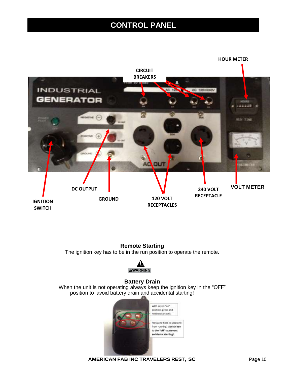## **CONTROL PANEL**



#### **Remote Starting** The ignition key has to be in the run position to operate the remote.



#### **Battery Drain**

When the unit is not operating always keep the ignition key in the "OFF" position to avoid battery drain and accidental starting!



**AMERICAN FAB INC TRAVELERS REST, SC** Page 10